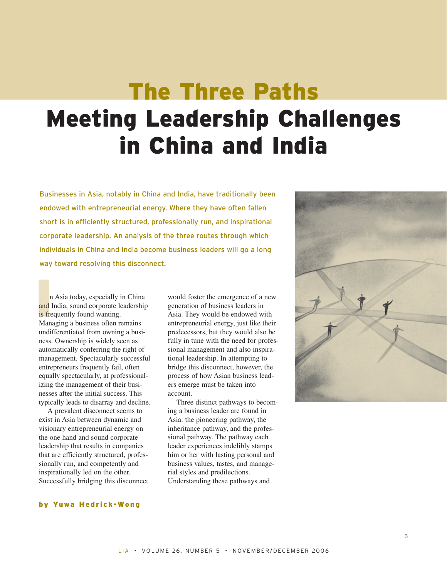# The Three Paths Meeting Leadership Challenges in China and India

Businesses in Asia, notably in China and India, have traditionally been endowed with entrepreneurial energy. Where they have often fallen short is in efficiently structured, professionally run, and inspirational corporate leadership. An analysis of the three routes through which individuals in China and India become business leaders will go a long way toward resolving this disconnect.

n<br>
and I<br>
is fre<br>
Mana n Asia today, especially in China and India, sound corporate leadership is frequently found wanting. Managing a business often remains undifferentiated from owning a business. Ownership is widely seen as automatically conferring the right of management. Spectacularly successful entrepreneurs frequently fail, often equally spectacularly, at professionalizing the management of their businesses after the initial success. This typically leads to disarray and decline.

A prevalent disconnect seems to exist in Asia between dynamic and visionary entrepreneurial energy on the one hand and sound corporate leadership that results in companies that are efficiently structured, professionally run, and competently and inspirationally led on the other. Successfully bridging this disconnect

would foster the emergence of a new generation of business leaders in Asia. They would be endowed with entrepreneurial energy, just like their predecessors, but they would also be fully in tune with the need for professional management and also inspirational leadership. In attempting to bridge this disconnect, however, the process of how Asian business leaders emerge must be taken into account.

Three distinct pathways to becoming a business leader are found in Asia: the pioneering pathway, the inheritance pathway, and the professional pathway. The pathway each leader experiences indelibly stamps him or her with lasting personal and business values, tastes, and managerial styles and predilections. Understanding these pathways and



#### by Yuwa Hedrick-Wong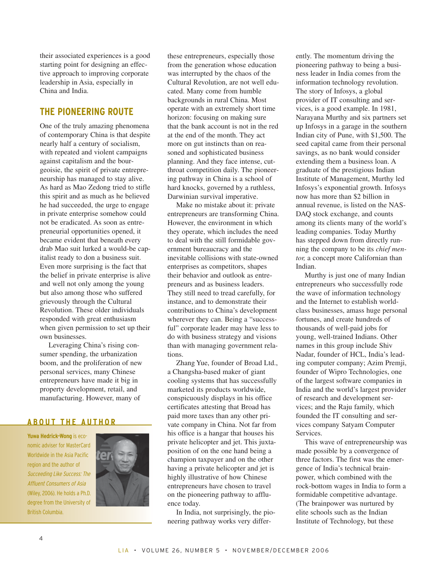their associated experiences is a good starting point for designing an effective approach to improving corporate leadership in Asia, especially in China and India.

#### **THE PIONEERING ROUTE**

One of the truly amazing phenomena of contemporary China is that despite nearly half a century of socialism, with repeated and violent campaigns against capitalism and the bourgeoisie, the spirit of private entrepreneurship has managed to stay alive. As hard as Mao Zedong tried to stifle this spirit and as much as he believed he had succeeded, the urge to engage in private enterprise somehow could not be eradicated. As soon as entrepreneurial opportunities opened, it became evident that beneath every drab Mao suit lurked a would-be capitalist ready to don a business suit. Even more surprising is the fact that the belief in private enterprise is alive and well not only among the young but also among those who suffered grievously through the Cultural Revolution. These older individuals responded with great enthusiasm when given permission to set up their own businesses.

Leveraging China's rising consumer spending, the urbanization boom, and the proliferation of new personal services, many Chinese entrepreneurs have made it big in property development, retail, and manufacturing. However, many of

#### **ABOUT THE AUTHOR**

**Yuwa Hedrick-Wong** is economic adviser for MasterCard Worldwide in the Asia Pacific region and the author of Succeeding Like Success: The Affluent Consumers of Asia (Wiley, 2006). He holds a Ph.D. degree from the University of British Columbia.



these entrepreneurs, especially those from the generation whose education was interrupted by the chaos of the Cultural Revolution, are not well educated. Many come from humble backgrounds in rural China. Most operate with an extremely short time horizon: focusing on making sure that the bank account is not in the red at the end of the month. They act more on gut instincts than on reasoned and sophisticated business planning. And they face intense, cutthroat competition daily. The pioneering pathway in China is a school of hard knocks, governed by a ruthless, Darwinian survival imperative.

Make no mistake about it: private entrepreneurs are transforming China. However, the environment in which they operate, which includes the need to deal with the still formidable government bureaucracy and the inevitable collisions with state-owned enterprises as competitors, shapes their behavior and outlook as entrepreneurs and as business leaders. They still need to tread carefully, for instance, and to demonstrate their contributions to China's development wherever they can. Being a "successful" corporate leader may have less to do with business strategy and visions than with managing government relations.

Zhang Yue, founder of Broad Ltd., a Changsha-based maker of giant cooling systems that has successfully marketed its products worldwide, conspicuously displays in his office certificates attesting that Broad has paid more taxes than any other private company in China. Not far from his office is a hangar that houses his private helicopter and jet. This juxtaposition of on the one hand being a champion taxpayer and on the other having a private helicopter and jet is highly illustrative of how Chinese entrepreneurs have chosen to travel on the pioneering pathway to affluence today.

In India, not surprisingly, the pioneering pathway works very differ-

ently. The momentum driving the pioneering pathway to being a business leader in India comes from the information technology revolution. The story of Infosys, a global provider of IT consulting and services, is a good example. In 1981, Narayana Murthy and six partners set up Infosys in a garage in the southern Indian city of Pune, with \$1,500. The seed capital came from their personal savings, as no bank would consider extending them a business loan. A graduate of the prestigious Indian Institute of Management, Murthy led Infosys's exponential growth. Infosys now has more than \$2 billion in annual revenue, is listed on the NAS-DAQ stock exchange, and counts among its clients many of the world's leading companies. Today Murthy has stepped down from directly running the company to be its *chief mentor,* a concept more Californian than Indian.

Murthy is just one of many Indian entrepreneurs who successfully rode the wave of information technology and the Internet to establish worldclass businesses, amass huge personal fortunes, and create hundreds of thousands of well-paid jobs for young, well-trained Indians. Other names in this group include Shiv Nadar, founder of HCL, India's leading computer company; Azim Premji, founder of Wipro Technologies, one of the largest software companies in India and the world's largest provider of research and development services; and the Raju family, which founded the IT consulting and services company Satyam Computer Services.

This wave of entrepreneurship was made possible by a convergence of three factors. The first was the emergence of India's technical brainpower, which combined with the rock-bottom wages in India to form a formidable competitive advantage. (The brainpower was nurtured by elite schools such as the Indian Institute of Technology, but these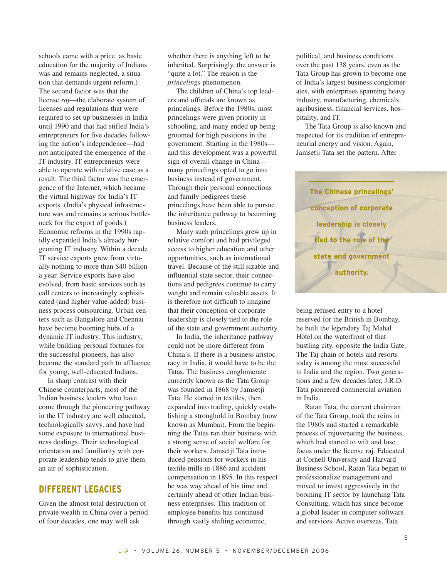schools came with a price, as basic education for the majority of Indians was and remains neglected, a situation that demands urgent reform.) The second factor was that the license *raj*—the elaborate system of licenses and regulations that were required to set up businesses in India until 1990 and that had stifled India's entrepreneurs for five decades following the nation's independence—had not anticipated the emergence of the IT industry. IT entrepreneurs were able to operate with relative ease as a result. The third factor was the emergence of the Internet, which became the virtual highway for India's IT exports. (India's physical infrastructure was and remains a serious bottleneck for the export of goods.) Economic reforms in the 1990s rapidly expanded India's already burgeoning IT industry. Within a decade IT service exports grew from virtually nothing to more than \$40 billion a year. Service exports have also evolved, from basic services such as call centers to increasingly sophisticated (and higher value-added) business process outsourcing. Urban centers such as Bangalore and Chennai have become booming hubs of a dynamic IT industry. This industry, while building personal fortunes for the successful pioneers, has also become the standard path to affluence for young, well-educated Indians.

In sharp contrast with their Chinese counterparts, most of the Indian business leaders who have come through the pioneering pathway in the IT industry are well educated, technologically savvy, and have had some exposure to international business dealings. Their technological orientation and familiarity with corporate leadership tends to give them an air of sophistication.

#### **DIFFERENT LEGACIES**

Given the almost total destruction of private wealth in China over a period of four decades, one may well ask

whether there is anything left to be inherited. Surprisingly, the answer is "quite a lot." The reason is the *princelings* phenomenon.

The children of China's top leaders and officials are known as princelings. Before the 1980s, most princelings were given priority in schooling, and many ended up being groomed for high positions in the government. Starting in the 1980s and this development was a powerful sign of overall change in China many princelings opted to go into business instead of government. Through their personal connections and family pedigrees these princelings have been able to pursue the inheritance pathway to becoming business leaders.

Many such princelings grew up in relative comfort and had privileged access to higher education and other opportunities, such as international travel. Because of the still sizable and influential state sector, their connections and pedigrees continue to carry weight and remain valuable assets. It is therefore not difficult to imagine that their conception of corporate leadership is closely tied to the role of the state and government authority.

In India, the inheritance pathway could not be more different from China's. If there is a business aristocracy in India, it would have to be the Tatas. The business conglomerate currently known as the Tata Group was founded in 1868 by Jamsetji Tata. He started in textiles, then expanded into trading, quickly establishing a stronghold in Bombay (now known as Mumbai). From the beginning the Tatas ran their business with a strong sense of social welfare for their workers. Jamsetji Tata introduced pensions for workers in his textile mills in 1886 and accident compensation in 1895. In this respect he was way ahead of his time and certainly ahead of other Indian business enterprises. This tradition of employee benefits has continued through vastly shifting economic,

political, and business conditions over the past 138 years, even as the Tata Group has grown to become one of India's largest business conglomerates, with enterprises spanning heavy industry, manufacturing, chemicals, agribusiness, financial services, hospitality, and IT.

The Tata Group is also known and respected for its tradition of entrepreneurial energy and vision. Again, Jamsetji Tata set the pattern. After



being refused entry to a hotel reserved for the British in Bombay, he built the legendary Taj Mahal Hotel on the waterfront of that bustling city, opposite the India Gate. The Taj chain of hotels and resorts today is among the most successful in India and the region. Two generations and a few decades later, J.R.D. Tata pioneered commercial aviation in India.

Ratan Tata, the current chairman of the Tata Group, took the reins in the 1980s and started a remarkable process of rejuvenating the business, which had started to wilt and lose focus under the license raj. Educated at Cornell University and Harvard Business School, Ratan Tata began to professionalize management and moved to invest aggressively in the booming IT sector by launching Tata Consulting, which has since become a global leader in computer software and services. Active overseas, Tata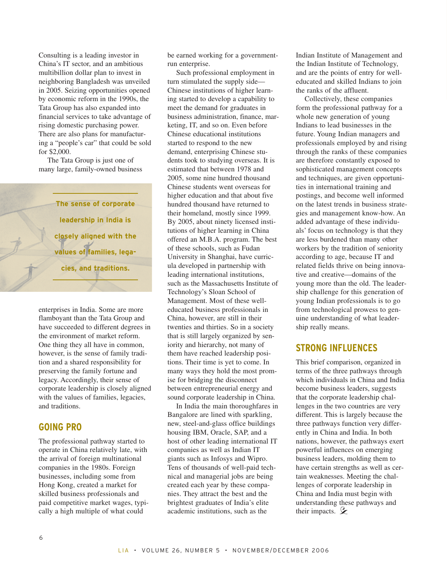Consulting is a leading investor in China's IT sector, and an ambitious multibillion dollar plan to invest in neighboring Bangladesh was unveiled in 2005. Seizing opportunities opened by economic reform in the 1990s, the Tata Group has also expanded into financial services to take advantage of rising domestic purchasing power. There are also plans for manufacturing a "people's car" that could be sold for \$2,000.

The Tata Group is just one of many large, family-owned business

**The sense of corporate leadership in India is closely aligned with the values of families, legacies, and traditions.**

enterprises in India. Some are more flamboyant than the Tata Group and have succeeded to different degrees in the environment of market reform. One thing they all have in common, however, is the sense of family tradition and a shared responsibility for preserving the family fortune and legacy. Accordingly, their sense of corporate leadership is closely aligned with the values of families, legacies, and traditions.

#### **GOING PRO**

The professional pathway started to operate in China relatively late, with the arrival of foreign multinational companies in the 1980s. Foreign businesses, including some from Hong Kong, created a market for skilled business professionals and paid competitive market wages, typically a high multiple of what could

be earned working for a governmentrun enterprise.

Such professional employment in turn stimulated the supply side— Chinese institutions of higher learning started to develop a capability to meet the demand for graduates in business administration, finance, marketing, IT, and so on. Even before Chinese educational institutions started to respond to the new demand, enterprising Chinese students took to studying overseas. It is estimated that between 1978 and 2005, some nine hundred thousand Chinese students went overseas for higher education and that about five hundred thousand have returned to their homeland, mostly since 1999. By 2005, about ninety licensed institutions of higher learning in China offered an M.B.A. program. The best of these schools, such as Fudan University in Shanghai, have curricula developed in partnership with leading international institutions, such as the Massachusetts Institute of Technology's Sloan School of Management. Most of these welleducated business professionals in China, however, are still in their twenties and thirties. So in a society that is still largely organized by seniority and hierarchy, not many of them have reached leadership positions. Their time is yet to come. In many ways they hold the most promise for bridging the disconnect between entrepreneurial energy and sound corporate leadership in China.

In India the main thoroughfares in Bangalore are lined with sparkling, new, steel-and-glass office buildings housing IBM, Oracle, SAP, and a host of other leading international IT companies as well as Indian IT giants such as Infosys and Wipro. Tens of thousands of well-paid technical and managerial jobs are being created each year by these companies. They attract the best and the brightest graduates of India's elite academic institutions, such as the

Indian Institute of Management and the Indian Institute of Technology, and are the points of entry for welleducated and skilled Indians to join the ranks of the affluent.

Collectively, these companies form the professional pathway for a whole new generation of young Indians to lead businesses in the future. Young Indian managers and professionals employed by and rising through the ranks of these companies are therefore constantly exposed to sophisticated management concepts and techniques, are given opportunities in international training and postings, and become well informed on the latest trends in business strategies and management know-how. An added advantage of these individuals' focus on technology is that they are less burdened than many other workers by the tradition of seniority according to age, because IT and related fields thrive on being innovative and creative—domains of the young more than the old. The leadership challenge for this generation of young Indian professionals is to go from technological prowess to genuine understanding of what leadership really means.

#### **STRONG INFLUENCES**

This brief comparison, organized in terms of the three pathways through which individuals in China and India become business leaders, suggests that the corporate leadership challenges in the two countries are very different. This is largely because the three pathways function very differently in China and India. In both nations, however, the pathways exert powerful influences on emerging business leaders, molding them to have certain strengths as well as certain weaknesses. Meeting the challenges of corporate leadership in China and India must begin with understanding these pathways and their impacts.  $\&$